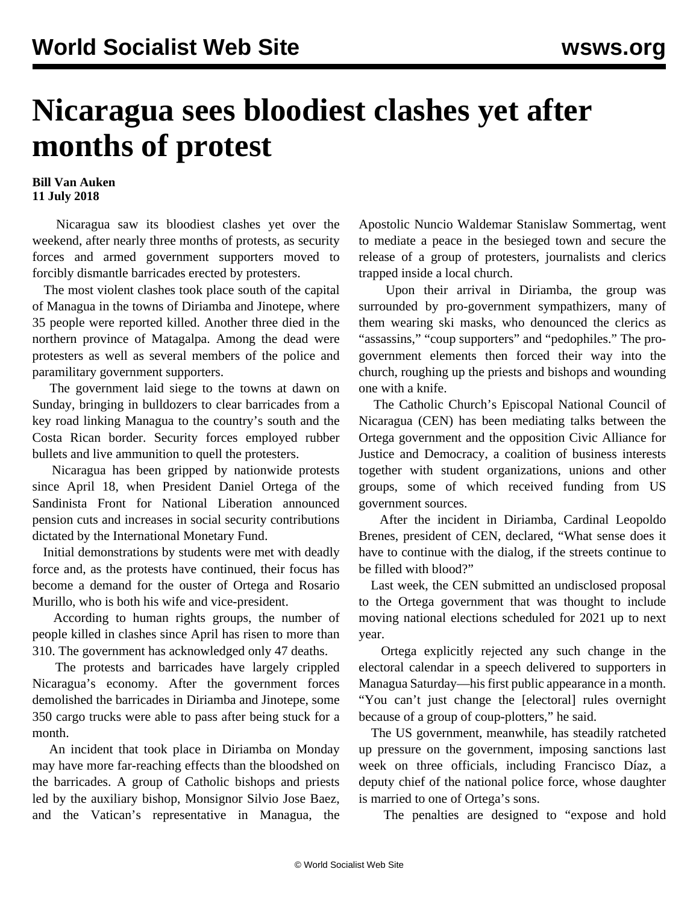## **Nicaragua sees bloodiest clashes yet after months of protest**

## **Bill Van Auken 11 July 2018**

 Nicaragua saw its bloodiest clashes yet over the weekend, after nearly three months of protests, as security forces and armed government supporters moved to forcibly dismantle barricades erected by protesters.

 The most violent clashes took place south of the capital of Managua in the towns of Diriamba and Jinotepe, where 35 people were reported killed. Another three died in the northern province of Matagalpa. Among the dead were protesters as well as several members of the police and paramilitary government supporters.

 The government laid siege to the towns at dawn on Sunday, bringing in bulldozers to clear barricades from a key road linking Managua to the country's south and the Costa Rican border. Security forces employed rubber bullets and live ammunition to quell the protesters.

 Nicaragua has been gripped by nationwide protests since April 18, when President Daniel Ortega of the Sandinista Front for National Liberation announced pension cuts and increases in social security contributions dictated by the International Monetary Fund.

 Initial demonstrations by students were met with deadly force and, as the protests have continued, their focus has become a demand for the ouster of Ortega and Rosario Murillo, who is both his wife and vice-president.

 According to human rights groups, the number of people killed in clashes since April has risen to more than 310. The government has acknowledged only 47 deaths.

 The protests and barricades have largely crippled Nicaragua's economy. After the government forces demolished the barricades in Diriamba and Jinotepe, some 350 cargo trucks were able to pass after being stuck for a month.

 An incident that took place in Diriamba on Monday may have more far-reaching effects than the bloodshed on the barricades. A group of Catholic bishops and priests led by the auxiliary bishop, Monsignor Silvio Jose Baez, and the Vatican's representative in Managua, the Apostolic Nuncio Waldemar Stanislaw Sommertag, went to mediate a peace in the besieged town and secure the release of a group of protesters, journalists and clerics trapped inside a local church.

 Upon their arrival in Diriamba, the group was surrounded by pro-government sympathizers, many of them wearing ski masks, who denounced the clerics as "assassins," "coup supporters" and "pedophiles." The progovernment elements then forced their way into the church, roughing up the priests and bishops and wounding one with a knife.

 The Catholic Church's Episcopal National Council of Nicaragua (CEN) has been mediating talks between the Ortega government and the opposition Civic Alliance for Justice and Democracy, a coalition of business interests together with student organizations, unions and other groups, some of which received funding from US government sources.

 After the incident in Diriamba, Cardinal Leopoldo Brenes, president of CEN, declared, "What sense does it have to continue with the dialog, if the streets continue to be filled with blood?"

 Last week, the CEN submitted an undisclosed proposal to the Ortega government that was thought to include moving national elections scheduled for 2021 up to next year.

 Ortega explicitly rejected any such change in the electoral calendar in a speech delivered to supporters in Managua Saturday—his first public appearance in a month. "You can't just change the [electoral] rules overnight because of a group of coup-plotters," he said.

 The US government, meanwhile, has steadily ratcheted up pressure on the government, imposing sanctions last week on three officials, including Francisco Díaz, a deputy chief of the national police force, whose daughter is married to one of Ortega's sons.

The penalties are designed to "expose and hold